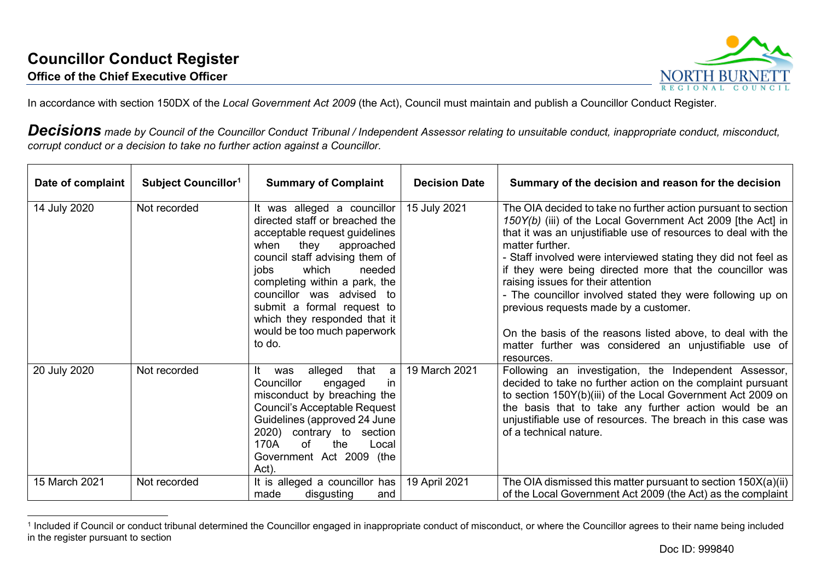<span id="page-0-0"></span>

In accordance with section 150DX of the *Local Government Act 2009* (the Act), Council must maintain and publish a Councillor Conduct Register.

*Decisions made by Council of the Councillor Conduct Tribunal / Independent Assessor relating to unsuitable conduct, inappropriate conduct, misconduct, corrupt conduct or a decision to take no further action against a Councillor.*

| Date of complaint | Subject Councillor <sup>1</sup> | <b>Summary of Complaint</b>                                                                                                                                                                                                                                                                                                                                    | <b>Decision Date</b> | Summary of the decision and reason for the decision                                                                                                                                                                                                                                                                                                                                                                                                                                                                                                                                                                               |
|-------------------|---------------------------------|----------------------------------------------------------------------------------------------------------------------------------------------------------------------------------------------------------------------------------------------------------------------------------------------------------------------------------------------------------------|----------------------|-----------------------------------------------------------------------------------------------------------------------------------------------------------------------------------------------------------------------------------------------------------------------------------------------------------------------------------------------------------------------------------------------------------------------------------------------------------------------------------------------------------------------------------------------------------------------------------------------------------------------------------|
| 14 July 2020      | Not recorded                    | It was alleged a councillor<br>directed staff or breached the<br>acceptable request guidelines<br>when<br>they<br>approached<br>council staff advising them of<br>which<br>jobs<br>needed<br>completing within a park, the<br>councillor was advised to<br>submit a formal request to<br>which they responded that it<br>would be too much paperwork<br>to do. | 15 July 2021         | The OIA decided to take no further action pursuant to section<br>150Y(b) (iii) of the Local Government Act 2009 [the Act] in<br>that it was an unjustifiable use of resources to deal with the<br>matter further.<br>- Staff involved were interviewed stating they did not feel as<br>if they were being directed more that the councillor was<br>raising issues for their attention<br>- The councillor involved stated they were following up on<br>previous requests made by a customer.<br>On the basis of the reasons listed above, to deal with the<br>matter further was considered an unjustifiable use of<br>resources. |
| 20 July 2020      | Not recorded                    | It<br>alleged<br>that<br>was<br>a<br>Councillor<br>engaged<br><sub>in</sub><br>misconduct by breaching the<br>Council's Acceptable Request<br>Guidelines (approved 24 June<br>2020) contrary to section<br>170A<br>of<br>the<br>Local<br>Government Act 2009 (the<br>Act).                                                                                     | 19 March 2021        | Following an investigation, the Independent Assessor,<br>decided to take no further action on the complaint pursuant<br>to section 150Y(b)(iii) of the Local Government Act 2009 on<br>the basis that to take any further action would be an<br>unjustifiable use of resources. The breach in this case was<br>of a technical nature.                                                                                                                                                                                                                                                                                             |
| 15 March 2021     | Not recorded                    | It is alleged a councillor has<br>made<br>disgusting<br>and                                                                                                                                                                                                                                                                                                    | 19 April 2021        | The OIA dismissed this matter pursuant to section 150X(a)(ii)<br>of the Local Government Act 2009 (the Act) as the complaint                                                                                                                                                                                                                                                                                                                                                                                                                                                                                                      |

<sup>&</sup>lt;sup>1</sup> Included if Council or conduct tribunal determined the Councillor engaged in inappropriate conduct of misconduct, or where the Councillor agrees to their name being included in the register pursuant to section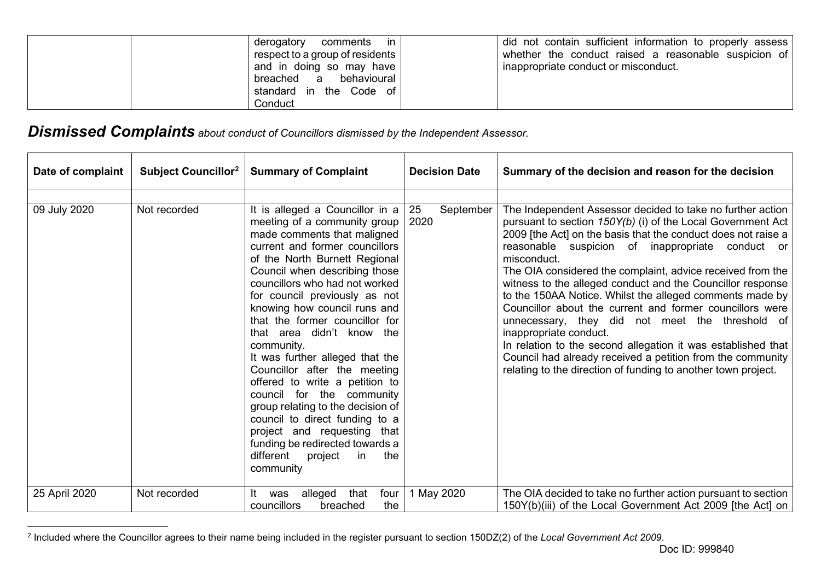<span id="page-1-0"></span>

| derogatory<br>comments in<br>respect to a group of residents  <br>and in doing so may have<br>breached a behavioural<br>standard in the Code of | did not contain sufficient information to properly assess<br>whether the conduct raised a reasonable suspicion of<br>inappropriate conduct or misconduct. |
|-------------------------------------------------------------------------------------------------------------------------------------------------|-----------------------------------------------------------------------------------------------------------------------------------------------------------|
| Conduct                                                                                                                                         |                                                                                                                                                           |

## *Dismissed Complaints about conduct of Councillors dismissed by the Independent Assessor.*

| Date of complaint | <b>Subject Councillor</b> <sup>2</sup> | <b>Summary of Complaint</b>                                                                                                                                                                                                                                                                                                                                                                                                                                                                                                                                                                                                                                                                                     | <b>Decision Date</b>    | Summary of the decision and reason for the decision                                                                                                                                                                                                                                                                                                                                                                                                                                                                                                                                                                                                                                                                                                                                           |
|-------------------|----------------------------------------|-----------------------------------------------------------------------------------------------------------------------------------------------------------------------------------------------------------------------------------------------------------------------------------------------------------------------------------------------------------------------------------------------------------------------------------------------------------------------------------------------------------------------------------------------------------------------------------------------------------------------------------------------------------------------------------------------------------------|-------------------------|-----------------------------------------------------------------------------------------------------------------------------------------------------------------------------------------------------------------------------------------------------------------------------------------------------------------------------------------------------------------------------------------------------------------------------------------------------------------------------------------------------------------------------------------------------------------------------------------------------------------------------------------------------------------------------------------------------------------------------------------------------------------------------------------------|
| 09 July 2020      | Not recorded                           | It is alleged a Councillor in a<br>meeting of a community group<br>made comments that maligned<br>current and former councillors<br>of the North Burnett Regional<br>Council when describing those<br>councillors who had not worked<br>for council previously as not<br>knowing how council runs and<br>that the former councillor for<br>that area didn't know the<br>community.<br>It was further alleged that the<br>Councillor after the meeting<br>offered to write a petition to<br>council for the community<br>group relating to the decision of<br>council to direct funding to a<br>project and requesting that<br>funding be redirected towards a<br>different<br>project<br>in<br>the<br>community | 25<br>September<br>2020 | The Independent Assessor decided to take no further action<br>pursuant to section 150Y(b) (i) of the Local Government Act<br>2009 [the Act] on the basis that the conduct does not raise a<br>reasonable suspicion of inappropriate conduct or<br>misconduct.<br>The OIA considered the complaint, advice received from the<br>witness to the alleged conduct and the Councillor response<br>to the 150AA Notice. Whilst the alleged comments made by<br>Councillor about the current and former councillors were<br>unnecessary, they did not meet the threshold of<br>inappropriate conduct.<br>In relation to the second allegation it was established that<br>Council had already received a petition from the community<br>relating to the direction of funding to another town project. |
| 25 April 2020     | Not recorded                           | that<br>four<br>It<br>alleged<br>was<br>councillors<br>the<br>breached                                                                                                                                                                                                                                                                                                                                                                                                                                                                                                                                                                                                                                          | 1 May 2020              | The OIA decided to take no further action pursuant to section<br>150Y(b)(iii) of the Local Government Act 2009 [the Act] on                                                                                                                                                                                                                                                                                                                                                                                                                                                                                                                                                                                                                                                                   |

<sup>2</sup> Included where the Councillor agrees to their name being included in the register pursuant to section 150DZ(2) of the *Local Government Act 2009*.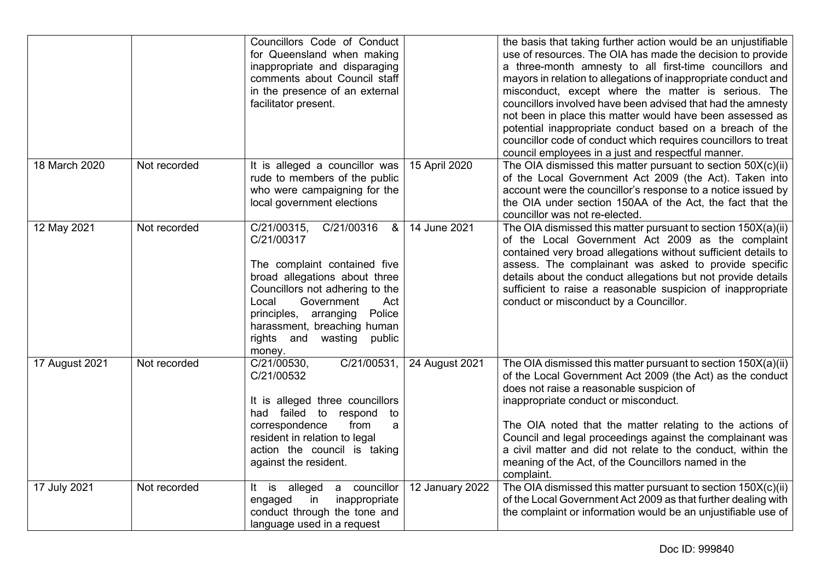|                |              | Councillors Code of Conduct<br>for Queensland when making<br>inappropriate and disparaging<br>comments about Council staff<br>in the presence of an external<br>facilitator present.                                                                                                          |                 | the basis that taking further action would be an unjustifiable<br>use of resources. The OIA has made the decision to provide<br>a three-month amnesty to all first-time councillors and<br>mayors in relation to allegations of inappropriate conduct and<br>misconduct, except where the matter is serious. The<br>councillors involved have been advised that had the amnesty<br>not been in place this matter would have been assessed as<br>potential inappropriate conduct based on a breach of the<br>councillor code of conduct which requires councillors to treat<br>council employees in a just and respectful manner. |
|----------------|--------------|-----------------------------------------------------------------------------------------------------------------------------------------------------------------------------------------------------------------------------------------------------------------------------------------------|-----------------|----------------------------------------------------------------------------------------------------------------------------------------------------------------------------------------------------------------------------------------------------------------------------------------------------------------------------------------------------------------------------------------------------------------------------------------------------------------------------------------------------------------------------------------------------------------------------------------------------------------------------------|
| 18 March 2020  | Not recorded | It is alleged a councillor was<br>rude to members of the public<br>who were campaigning for the<br>local government elections                                                                                                                                                                 | 15 April 2020   | The OIA dismissed this matter pursuant to section 50X(c)(ii)<br>of the Local Government Act 2009 (the Act). Taken into<br>account were the councillor's response to a notice issued by<br>the OIA under section 150AA of the Act, the fact that the<br>councillor was not re-elected.                                                                                                                                                                                                                                                                                                                                            |
| 12 May 2021    | Not recorded | C/21/00315,<br>C/21/00316<br>&<br>C/21/00317<br>The complaint contained five<br>broad allegations about three<br>Councillors not adhering to the<br>Government<br>Local<br>Act<br>Police<br>arranging<br>principles,<br>harassment, breaching human<br>rights and wasting<br>public<br>money. | 14 June 2021    | The OIA dismissed this matter pursuant to section 150X(a)(ii)<br>of the Local Government Act 2009 as the complaint<br>contained very broad allegations without sufficient details to<br>assess. The complainant was asked to provide specific<br>details about the conduct allegations but not provide details<br>sufficient to raise a reasonable suspicion of inappropriate<br>conduct or misconduct by a Councillor.                                                                                                                                                                                                          |
| 17 August 2021 | Not recorded | C/21/00531,<br>C/21/00530,<br>C/21/00532<br>It is alleged three councillors<br>had failed to respond<br>to<br>correspondence<br>from<br>a<br>resident in relation to legal<br>action the council is taking<br>against the resident.                                                           | 24 August 2021  | The OIA dismissed this matter pursuant to section 150X(a)(ii)<br>of the Local Government Act 2009 (the Act) as the conduct<br>does not raise a reasonable suspicion of<br>inappropriate conduct or misconduct.<br>The OIA noted that the matter relating to the actions of<br>Council and legal proceedings against the complainant was<br>a civil matter and did not relate to the conduct, within the<br>meaning of the Act, of the Councillors named in the<br>complaint.                                                                                                                                                     |
| 17 July 2021   | Not recorded | a councillor<br>alleged<br>It is<br>engaged<br>in<br>inappropriate<br>conduct through the tone and<br>language used in a request                                                                                                                                                              | 12 January 2022 | The OIA dismissed this matter pursuant to section 150X(c)(ii)<br>of the Local Government Act 2009 as that further dealing with<br>the complaint or information would be an unjustifiable use of                                                                                                                                                                                                                                                                                                                                                                                                                                  |